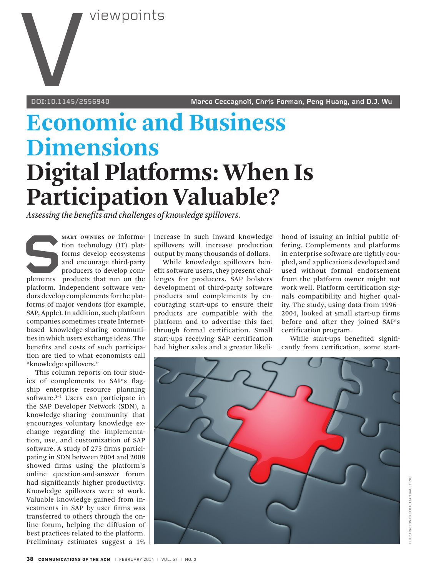

**doi:10.1145/2556940 Marco Ceccagnoli, Chris Forman, Peng Huang, and D.J. Wu**

## **Economic and Business Dimensions Digital Platforms: When Is Participation Valuable?**

*Assessing the benefits and challenges of knowledge spillovers.* 

**SPART OWNERS OF INFORMATE CONSERVANT ON A FORMATE START OF PRIME AND PRODUCTS AND PRODUCTS** and encourage third-party products that run on the platform Independent software vention technology (IT) platforms develop ecosystems and encourage third-party producers to develop complatform. Independent software vendors develop complements for the platforms of major vendors (for example, SAP, Apple). In addition, such platform companies sometimes create Internetbased knowledge-sharing communities in which users exchange ideas. The benefits and costs of such participation are tied to what economists call "knowledge spillovers."

This column reports on four studies of complements to SAP's flagship enterprise resource planning software.<sup>1-4</sup> Users can participate in the SAP Developer Network (SDN), a knowledge-sharing community that encourages voluntary knowledge exchange regarding the implementation, use, and customization of SAP software. A study of 275 firms participating in SDN between 2004 and 2008 showed firms using the platform's online question-and-answer forum had significantly higher productivity. Knowledge spillovers were at work. Valuable knowledge gained from investments in SAP by user firms was transferred to others through the online forum, helping the diffusion of best practices related to the platform. Preliminary estimates suggest a 1%

increase in such inward knowledge spillovers will increase production output by many thousands of dollars.

While knowledge spillovers benefit software users, they present challenges for producers. SAP bolsters development of third-party software products and complements by encouraging start-ups to ensure their products are compatible with the platform and to advertise this fact through formal certification. Small start-ups receiving SAP certification had higher sales and a greater likelihood of issuing an initial public offering. Complements and platforms in enterprise software are tightly coupled, and applications developed and used without formal endorsement from the platform owner might not work well. Platform certification signals compatibility and higher quality. The study, using data from 1996– 2004, looked at small start-up firms before and after they joined SAP's certification program.

While start-ups benefited significantly from certification, some start-